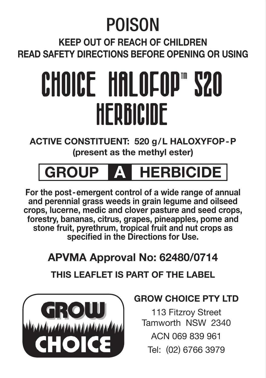## POISON

**Keep out of reach of children Read safety directions before opening or using**

# CHOICE HALOFOP"S20 HERBICIDE

**ACTIVE CONSTITUENT: 520 g/L haloxyfop-p (present as the methyl ester)**

### **GROUP A HERBICIDE**

**For the post-emergent control of a wide range of annual and perennial grass weeds in grain legume and oilseed crops, lucerne, medic and clover pasture and seed crops, forestry, bananas, citrus, grapes, pineapples, pome and stone fruit, pyrethrum, tropical fruit and nut crops as specified in the Directions for Use.**

#### **APVMA Approval No: 62480/0714**

#### **THIS LEAFLET IS PART OF THE LABEL**



#### **GROW CHOICE PTY LTD**

113 Fitzroy Street Tamworth NSW 2340 ACN 069 839 961 Tel: (02) 6766 3979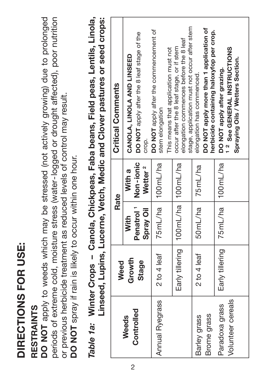# DIRECTIONS FOR USE: **FOR USE: DIRECTIONS**

# **RESTRAINTS RESTRAINTS**

 **NOT** apply to weeds which may be stressed (not actively growing) due to prolonged periods of extreme cold, moisture stress (water-logged or drought affected), poor nutrition periods of extreme cold, moisture stress (water-logged or drought affected), poor nutrition DO NOT apply to weeds which may be stressed (not actively growing) due to prolonged or previous herbicide treatment as reduced levels of control may result. or previous herbicide treatment as reduced levels of control may result. DO NOT spray if rain is likely to occur within one hour. **NOT** spray if rain is likely to occur within one hour.

*Table 1a:* **Winter Crops – Canola, Chickpeas, Faba beans, Field peas, Lentils, Linola,**  *Table 1a:* Winter Crops - Canola, Chickpeas, Faba beans, Field peas, Lentils, Linola, Linseed, Lupins, Lucerne, Vetch, Medic and Clover pastures or seed crops: **Linseed, Lupins, Lucerne, Vetch, Medic and Clover pastures or seed crops:**

| <b>Critical Comments</b> | DO NOT apply after the 8 leaf stage of the<br>CANOLA, LINOLA AND LINSEED | DO NOT apply after the commencement of<br>This means that application must not | stage, application must not occur after stem<br>elongation commences before the 8 leaf<br>occur after the 8 leaf stage, or if stem | DO NOT apply more than 1 application of<br>herbicide containing haloxyfop per crop.<br>elongation has commenced. | <sup>2</sup> See GENERAL INSTRUCTIONS<br>Spraying Oils / Wetters Section.<br>DO NOT apply after grazing. |
|--------------------------|--------------------------------------------------------------------------|--------------------------------------------------------------------------------|------------------------------------------------------------------------------------------------------------------------------------|------------------------------------------------------------------------------------------------------------------|----------------------------------------------------------------------------------------------------------|
|                          | crop.                                                                    | stem elongation                                                                |                                                                                                                                    |                                                                                                                  |                                                                                                          |
|                          | Wetter <sup>2</sup><br>With a                                            |                                                                                |                                                                                                                                    | 75mL/ha                                                                                                          |                                                                                                          |
| Rate                     | Penatrol <sup>1</sup>   Non-ionic<br>Spray Oil<br>Xith                   | 75mL/ha   100mL/ha                                                             |                                                                                                                                    | 50mL/ha                                                                                                          |                                                                                                          |
| Weed                     | Growth<br><b>Stage</b>                                                   | 2 to 4 leaf                                                                    | Early tillering   100 mL/ha   100 mL/ha                                                                                            | 2 to 4 leaf                                                                                                      | Early tillering   75 mL/ha   100 mL/ha                                                                   |
|                          | Controlled<br>Weeds                                                      | Annual Ryegrass                                                                |                                                                                                                                    | Brome grass<br>Barley grass                                                                                      | Volunteer cereals<br>Paradoxa grass                                                                      |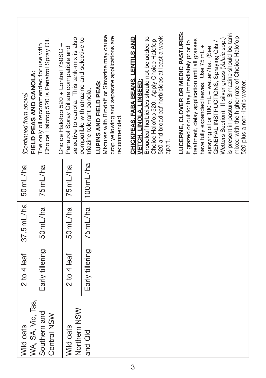| FIELD PEAS AND CANOLA:<br>(Continued from above) | Choice Halofop 520 is Penatrol Spray Oil.<br>The only oil recommended for use with | selective to canola. This tank-mix is also<br>Choice Halofop 520 + Lontrel 750SG +<br>Penatrol Spray Oil are compatible and | compatible with atrazine and selective to<br>triazine tolerant canola. | Mixtures with Brodal* or Simazine may cause<br>crop yellowing and separate applications are<br>LUPINS AND FIELD PEAS:<br>recommended. | CHICKPEAS, FABA BEANS, LENTILS AND<br>Broadleaf herbicides should not be added to<br>520 and broadleaf herbicides at least a week<br>Choice Halofop 520. Apply Choice Halofop<br>VETCH. LINOLA, LINSEED:<br>apart. | LUCERNE, CLOVER OR MEDIC PASTURES:<br>is present in pasture, Simazine should be tank<br>mixed with the higher rate of Choice Halofop<br>treatment, delay application until all grasses<br>Wetters Section). If silver grass (Vulpia spp.)<br>If grazed or cut for hay immediately prior to<br>GENERAL INSTRUCTIONS, Spraying Oils<br>have fully expanded leaves. Use 75 mL +<br>spraying oil or 100 mL + wetter/ha. (See<br>520 plus a non-ionic wetter. |
|--------------------------------------------------|------------------------------------------------------------------------------------|-----------------------------------------------------------------------------------------------------------------------------|------------------------------------------------------------------------|---------------------------------------------------------------------------------------------------------------------------------------|--------------------------------------------------------------------------------------------------------------------------------------------------------------------------------------------------------------------|----------------------------------------------------------------------------------------------------------------------------------------------------------------------------------------------------------------------------------------------------------------------------------------------------------------------------------------------------------------------------------------------------------------------------------------------------------|
|                                                  | 75mL/ha                                                                            | 75mL/ha                                                                                                                     | 100 mL/ha                                                              |                                                                                                                                       |                                                                                                                                                                                                                    |                                                                                                                                                                                                                                                                                                                                                                                                                                                          |
| $37.5$ mL/ha $50$ mL/ha                          | 50 <sub>mL/ha</sub>                                                                | 50 <sub>mL/ha</sub>                                                                                                         | 75mL/ha                                                                |                                                                                                                                       |                                                                                                                                                                                                                    |                                                                                                                                                                                                                                                                                                                                                                                                                                                          |
| $2$ to $4$ leaf                                  | Early tillering                                                                    | 2 to 4 leaf                                                                                                                 | Early tillering                                                        |                                                                                                                                       |                                                                                                                                                                                                                    |                                                                                                                                                                                                                                                                                                                                                                                                                                                          |
| WA, SA, Vic, Tas,<br>Wild oats                   | Southern and<br>Central NSW                                                        | Northern NSW<br>Wild oats                                                                                                   | and Qld                                                                |                                                                                                                                       |                                                                                                                                                                                                                    |                                                                                                                                                                                                                                                                                                                                                                                                                                                          |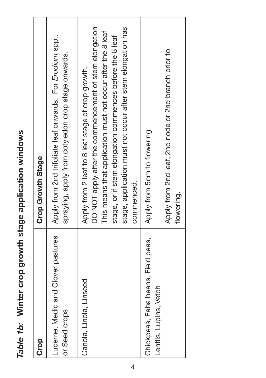| Crop                                                         | Crop Growth Stage                                                                                                                                                                                                                                                                                                   |
|--------------------------------------------------------------|---------------------------------------------------------------------------------------------------------------------------------------------------------------------------------------------------------------------------------------------------------------------------------------------------------------------|
| Lucerne, Medic and Clover pastures<br>or Seed crops          | Apply from 2nd trifoliate leaf onwards. For Erodium spp.,<br>spraying, apply from cotyledon crop stage onwards.                                                                                                                                                                                                     |
| Canola, Linola, Linseed                                      | DO NOT apply after the commencement of stem elongation<br>stage, application must not occur after stem elongation has<br>This means that application must not occur after the 8 leaf<br>stage, or if stem elongation commences before the 8 leaf<br>Apply from 2 leaf to 8 leaf stage of crop growth.<br>commenced. |
| Chickpeas, Faba beans, Field peas,<br>Lentils, Lupins, Vetch | Apply from 2nd leaf, 2nd node or 2nd branch prior to<br>Apply from 5 cm to flowering.<br>flowering.                                                                                                                                                                                                                 |

Table 1b: Winter crop growth stage application windows *Table 1b:* **Winter crop growth stage application windows**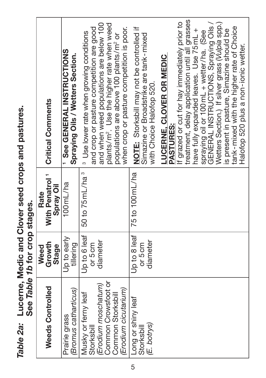| <b>Critical Comments</b>                              | <b>1 See GENERAL INSTRUCTIONS</b><br>Spraying Oils / Wetters Section. | plants/m <sup>2</sup> . Use the higher rate when weed<br>and when weed populations are below 100<br>when crop or pasture competition is poor.<br>and crop or pasture competition are good<br><sup>3</sup> Use lower rate when growing conditions<br>populations are above 100 plants/m <sup>2</sup> or | If grazed or cut for hay immediately prior to<br>NOTE: Storksbill may not be controlled if<br>Simazine or Broadstrike are tank-mixed<br>LUCERNE. CLOVER OR MEDIC<br>with Choice Halofop 520.<br><b>PASTURES:</b> | treatment, delay application until all grasses<br>GENERAL INSTRUCTIONS, Spraying Oils /<br>Wetters Section.) If silver grass (Vulpia spp.)<br>tank-mixed with the higher rate of Choice<br>is present in pasture, Simazine should be<br>have fully expanded leaves. Use 75mL +<br>spraying oil or 100 mL + wetter/ha. (See<br>Halofop 520 plus a non-ionic wetter. |
|-------------------------------------------------------|-----------------------------------------------------------------------|--------------------------------------------------------------------------------------------------------------------------------------------------------------------------------------------------------------------------------------------------------------------------------------------------------|------------------------------------------------------------------------------------------------------------------------------------------------------------------------------------------------------------------|--------------------------------------------------------------------------------------------------------------------------------------------------------------------------------------------------------------------------------------------------------------------------------------------------------------------------------------------------------------------|
| <b>With Penatrol<sup>1</sup></b><br>Spray Oil<br>Rate | 100 mL/ha                                                             | 50 to 75 mL/ha <sup>3</sup>                                                                                                                                                                                                                                                                            | 75 to 100 mL/ha                                                                                                                                                                                                  |                                                                                                                                                                                                                                                                                                                                                                    |
| Growth<br>Stage<br>Weed                               | Up to early<br>tillering                                              | Up to 6 leaf<br>diameter<br>or 5cm                                                                                                                                                                                                                                                                     | Up to 8 leaf<br>diameter<br>or 5cm                                                                                                                                                                               |                                                                                                                                                                                                                                                                                                                                                                    |
| Weeds Controlled                                      | (Bromus catharticus)<br>Prairie grass                                 | Common Crowsfoot or<br>(Erodium moschatum)<br>(Erodium cicutarium)<br>Musky or ferny leaf<br>Common Storksbill<br>Storksbill                                                                                                                                                                           | Long or shiny leaf<br>(E. botrys)<br>Storksbill                                                                                                                                                                  |                                                                                                                                                                                                                                                                                                                                                                    |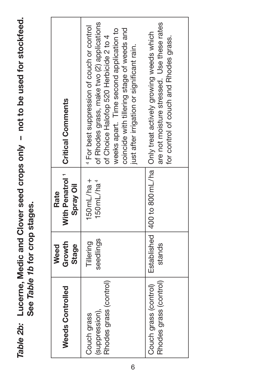Table 2b: Lucerne, Medic and Clover seed crops only - not to be used for stockfeed. *Table 2b:* **Lucerne, Medic and Clover seed crops only – not to be used for stockfeed.** See Table 1b for crop stages.  **See** *Table 1b* **for crop stages.**

| Weeds Controlled                                        | Growth<br><b>Stage</b><br>Weed | Spray Oil<br>Rate                             | With Penatrol 1   Critical Comments                                                                                                                                                                                                                                                  |
|---------------------------------------------------------|--------------------------------|-----------------------------------------------|--------------------------------------------------------------------------------------------------------------------------------------------------------------------------------------------------------------------------------------------------------------------------------------|
| Rhodes grass (control)<br>(suppression),<br>Couch grass | seedlings<br>Tillering         | $150 \text{mL/ha} +$<br>150mL/ha <sup>4</sup> | of Rhodes grass, make two (2) applications<br><sup>4</sup> For best suppression of couch or control<br>weeks apart. Time second application to<br>coincide with tillering stage of weeds and<br>of Choice Halofop 520 Herbicide 2 to 4<br>just after irrigation or significant rain. |
| Rhodes grass (control)<br>Couch grass (control)         | stands                         |                                               | are not moisture stressed. Use these rates<br>Established   400 to 800 mL/ha   Only treat actively growing weeds which<br>for control of couch and Rhodes grass.                                                                                                                     |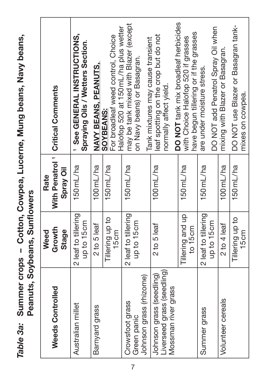Table 3a: Summer crops - Cotton, Cowpea, Lucerne, Mung beans, Navy beans, **Navy beans, Cowpea, Lucerne, Mung beans,**  Peanuts, Soybeans, Sunflowers **Peanuts, Soybeans, Sunflowers** *Table 3a:* **Summer crops –** 

| With Penatrol <sup>1</sup>   Critical Comments | See GENERAL INSTRUCTIONS,<br>Spraying Oils / Wetters Section. | NAVY BEANS, PEANUTS, | Halofop 520 at 150 mL/ha plus wetter<br>For broadleaf weed control, Choice<br>SOYBEANS: | may be tank mixed with Blazer (except | Tank mixtures may cause transient<br>on Navy beans) or Basagran. | leaf spotting on the crop but do not<br>normally affect yield. | DO NOT tank mix broadleaf herbicides | have begun tillering or if the grasses<br>with Choice Halofop 520 if grasses | are under moisture stress. | DO NOT add Penatrol Spray Oil when | mixing with Blazer or Basagran. | DO NOT use Blazer or Basagran tank- | mixes on cowpea. |
|------------------------------------------------|---------------------------------------------------------------|----------------------|-----------------------------------------------------------------------------------------|---------------------------------------|------------------------------------------------------------------|----------------------------------------------------------------|--------------------------------------|------------------------------------------------------------------------------|----------------------------|------------------------------------|---------------------------------|-------------------------------------|------------------|
| Spray Oil<br>Rate                              | 150 <sub>mL/ha</sub>                                          | $100$ mL/ha          | 150mL/ha                                                                                | 150 <sub>mL/ha</sub>                  |                                                                  | $100$ mL/ha                                                    |                                      | 150mL/ha                                                                     | 150mL/ha                   |                                    | $100$ mL/ha                     | 150mL/ha                            |                  |
| Growth<br>Stage<br>Weed                        | 2 leaf to tillering<br>up to 15cm                             | 2 to 5 leaf          | Tillering up to<br>15cm                                                                 | 2 leaf to tillering                   | up to 15cm                                                       | 2 to 5 leaf                                                    |                                      | Tillering and up<br>to 15cm                                                  | 2 leaf to tillering        | up to 15cm                         | 2 to 4 leaf                     | Tillering up to                     | 15 <sub>cm</sub> |
| Weeds Controlled                               | Australian millet                                             | Barnyard grass       |                                                                                         | Crowsfoot grass                       | Johnson grass (rhizome)<br>Green panic                           | Liverseed grass (seedling)<br>Johnson grass (seedling)         | Mossman river grass                  |                                                                              | Summer grass               |                                    | Volunteer cereals               |                                     |                  |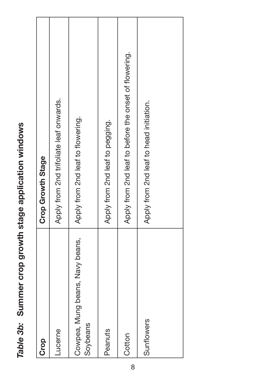| Crop                                        | Crop Growth Stage                                     |
|---------------------------------------------|-------------------------------------------------------|
| Lucerne                                     | Apply from 2nd trifoliate leaf onwards.               |
| Cowpea, Mung beans, Navy beans,<br>Soybeans | Apply from 2nd leaf to flowering.                     |
| Peanuts                                     | Apply from 2nd leaf to pegging.                       |
| Cotton                                      | Apply from 2nd leaf to before the onset of flowering. |
| Sunflowers                                  | Apply from 2nd leaf to head initiation.               |

Table 3b: Summer crop growth stage application windows *Table 3b:* **Summer crop growth stage application windows**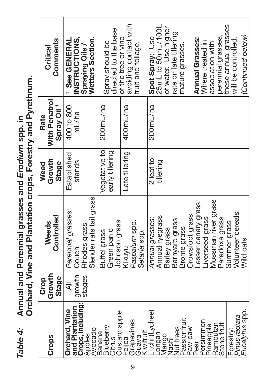Annual and Perennial grasses and Erodium spp. in<br>Orchard, Vine and Plantation crops, Forestry and Pyrethrum. **Orchard, Vine and Plantation crops, Forestry and Pyrethrum.Perennial grasses and** *Erodium* **spp. in** *Table 4:* **Annual and**  Table 4:

| Comments<br>Critical                            | INSTRUCTIONS,<br><b>Wetters Section.</b><br>See GENERAI<br>Spraying Oils  | directed to the base<br>Spray should be               | avoiding contact with<br>of the tree or vine<br>fruit and foliage. | Spot Spray: Use<br>25mL to 50mL/100L<br>these annual grasses<br>of water. Use higher<br>rate on late tillering<br>(Continued below)<br>perennial grasses,<br>Annual Grasses:<br>will be controlled.<br>Where treated in<br>association with<br>mature grasses |
|-------------------------------------------------|---------------------------------------------------------------------------|-------------------------------------------------------|--------------------------------------------------------------------|---------------------------------------------------------------------------------------------------------------------------------------------------------------------------------------------------------------------------------------------------------------|
| With Penatrol<br>Spray Oil <sup>1</sup><br>Rate | 400 to 800<br>mL/ha                                                       | 200mL/ha                                              | 400mL/ha                                                           | 200mL/ha                                                                                                                                                                                                                                                      |
| Growth<br>Stage<br>Weed                         | Established<br>stands                                                     | Vegetative to<br>early tillering                      | Late tillering                                                     | 2 leaf to<br>tillering                                                                                                                                                                                                                                        |
| Controlled<br>Weeds                             | Slender rats tail grass<br>Perennial grasses:<br>Rhodes grass<br>Couch    | Johnson grass<br>Green panic<br>Buffel grass          | Paspalum spp.<br>Setaria spp.<br>Kikuyu                            | Mossman river grass<br>esser canary grass<br>Volunteer cereals<br>Crowsfoot grass<br>Annual rvegrass<br>-iverseed grass<br>Paradoxa grass<br>Annual grasses:<br>Barnyard grass<br>Summer grass<br><b>Brome</b> grass<br>Barley grass<br>Wild oats             |
| Growth<br><b>Stage</b><br>Crop                  | growth<br>stages<br>₹                                                     |                                                       |                                                                    |                                                                                                                                                                                                                                                               |
| Crops                                           | Crops, including:<br>and Plantation<br>Drchard, Vine<br>Avocado<br>Apples | Custard apple<br><b>Slueberry</b><br>Banana<br>Citrus | Grápevines<br>Guava<br>Kiwifruit<br>-elloa                         | Eucalytus spp.<br>itchi (Lychee)<br>Pinus radiata<br>assionfruit<br>ersimmon<br>Stone fruit<br>Rambutan<br>Pineapple<br>Nut trees<br>wed we<br>Forestry:<br>ongan<br>Mango<br>Nashi<br>ear                                                                    |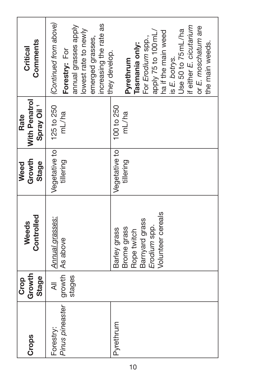| Crops                        | Growth<br><b>Stage</b><br>Crop | Controlled<br>Weeds                                                                               | Growth<br>Stage<br>Weed    | With Penatrol<br>Spray Oil <sup>1</sup><br>Rate | Comments<br>Critical                                                                                                                                                                                       |
|------------------------------|--------------------------------|---------------------------------------------------------------------------------------------------|----------------------------|-------------------------------------------------|------------------------------------------------------------------------------------------------------------------------------------------------------------------------------------------------------------|
| Pinus pineaster<br>Forestry: | stages<br>₹                    | Annual grasses:<br>growth As above                                                                | Vegetative to<br>tillering | 125 to 250<br>mL/ha                             | (Continued from above)<br>increasing the rate as<br>annual grasses apply<br>lowest rate to newly<br>emerged grasses,<br>Forestry: For<br>they develop.                                                     |
| Pyrethrum                    |                                | Volunteer cereals<br>Barnyard grass<br>Erodium spp.<br>Brome grass<br>Barley grass<br>Rope twitch | Vegetative to<br>tillering | 100 to 250<br>mL/ha                             | if either E. cicutarium<br>or E. moschatum are<br>Use 50 to 75 mL/ha<br>apply 75 to 100 mL/<br>ha if the main weed<br>For Erodium spp.,<br>the main weeds.<br>Tasmania only:<br>is E. botrys.<br>Pyrethrum |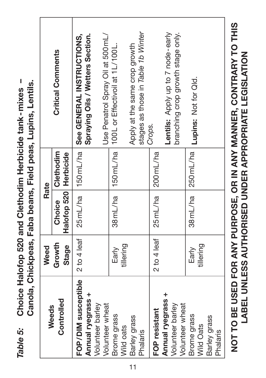| Weeds                                                           | Weed                   | Rate                              |           |                                                                        |
|-----------------------------------------------------------------|------------------------|-----------------------------------|-----------|------------------------------------------------------------------------|
| Controlled                                                      | Growth<br><b>Stage</b> | Halofop 520   Herbicide<br>Choice | Clethodim | <b>Critical Comments</b>                                               |
| FOP/DIM susceptible<br>Annual ryegrass +                        | 2 to 4 leaf            | 25mL/ha                           | 150mL/ha  | Spraying Oils / Wetters Section.<br>See GENERAL INSTRUCTIONS.          |
| Volunteer barley<br>Volunteer wheat                             |                        |                                   |           | Use Penatrol Spray Oil at 500 mL/                                      |
| Brome grass<br>Wild oats                                        | tillering<br>Early     | 38mL/ha                           |           | 150mL/ha 100L or Effectivoil at 1L/100L.                               |
| Barley grass<br>Phalaris                                        |                        |                                   |           | stages as those in Table 1b Winter<br>Apply at the same crop growth    |
| FOP resistant                                                   | 2 to 4 leaf            | 25mL/ha                           | 200 mL/ha | Crops.                                                                 |
| <b>Annual ryegrass +</b><br>Volunteer barley<br>Volunteer wheat |                        |                                   |           | Lentils: Apply up to 7 node-early<br>branching crop growth stage only. |
| Brome grass<br>Wild Oats                                        | tillering<br>Early     | 38mL/ha                           |           | 250 mL/ha   Lupins: Not for Qld.                                       |
| Barley grass<br>Phalaris                                        |                        |                                   |           |                                                                        |
|                                                                 |                        |                                   |           | NOT TO BE USED FOR ANY PURPOSE, OR IN ANY MANNER, CONTRARY TO THIS     |

 **TO BE USED FOR ANY PURPOSE, OR IN ANY MANNER, CONTRARY TO THIS LABEL UNLESS AUTHORISED UNDER APPROPRIATE LEGISLATION UNLESS AUTHORISED UNDER APPROPRIATE LEGISLATION**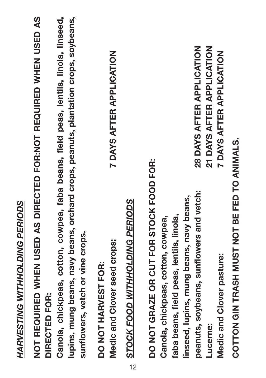# HARVESTING WITHHOLDING PERIODS *HARVESTING WITHHOLDING PERIODS*

NOT REQUIRED WHEN USED AS DIRECTED FOR:NOT REQUIRED WHEN USED AS **REQUIRED WHEN USED AS DIRECTED FOR:NOT REQUIRED WHEN USED AS** DIRECTED FOR: DIRECTED FOR: **DIRECTED**

**Canola, chickpeas, cotton, cowpea, faba beans, field peas, lentils, linola, linseed, lupins, mung beans, navy beans, orchard crops, peanuts, plantation crops, soybeans,**  Canola, chickpeas, cotton, cowpea, faba beans, field peas, lentils, linola, linseed, lupins, mung beans, navy beans, orchard crops, peanuts, plantation crops, soybeans, sunflowers, vetch or vine crops. **sunflowers, vetch or vine crops.**

Medic and Clover seed crops: DO NOT HARVEST FOR: **NOT HARVEST FOR:**

**7 DAYS AFTER APPLICATION Medic and Clover seed crops: 7 DAYS AFTER APPLICATION**

*STOCK FOOD WITHHOLDING PERIODS* STOCK FOOD WITHHOLDING PERIODS

28 DAYS AFTER APPLICATION 21 DAYS AFTER APPLICATION **peanuts, soybeans, sunflowers and vetch: 28 DAYS AFTER APPLICATION Lucerne: 21 DAYS AFTER APPLICATION 7 DAYS AFTER APPLICATION Medic and Clover pasture: 7 DAYS AFTER APPLICATION** DO NOT GRAZE OR CUT FOR STOCK FOOD FOR: **NOT GRAZE OR CUT FOR STOCK FOOD FOR:** peanuts, soybeans, sunflowers and vetch: **linseed, lupins, mung beans, navy beans,**  linseed, lupins, mung beans, navy beans, faba beans, field peas, lentils, linola, Canola, chickpeas, cotton, cowpea, **faba beans, field peas, lentils, linola, Canola, chickpeas, cotton, cowpea,** Medic and Clover pasture: Lucerne:

COTTON GIN TRASH MUST NOT BE FED TO ANIMALS. **COTTON GIN TRASH MUST NOT BE FED TO ANIMALS.**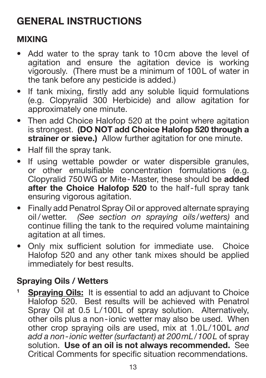#### **GENERAL INSTRUCTIONS**

#### **MIXING**

- Add water to the spray tank to 10cm above the level of agitation and ensure the agitation device is working vigorously. (There must be a minimum of 100L of water in the tank before any pesticide is added.)
- If tank mixing, firstly add any soluble liquid formulations (e.g. Clopyralid 300 Herbicide) and allow agitation for approximately one minute.
- Then add Choice Halofop 520 at the point where agitation is strongest. **(DO NOT add Choice Halofop 520 through a**  strainer or sieve.) Allow further agitation for one minute.
- Half fill the spray tank.
- If using wettable powder or water dispersible granules, or other emulsifiable concentration formulations (e.g. Clopyralid 750WG or Mite-Master, these should be **added after the Choice Halofop 520** to the half-full spray tank ensuring vigorous agitation.
- Finally add Penatrol Spray Oil or approved alternate spraying oil / wetter. *(See section on spraying oils/wetters)* and continue filling the tank to the required volume maintaining agitation at all times.
- Only mix sufficient solution for immediate use. Choice Halofop 520 and any other tank mixes should be applied immediately for best results.

#### **Spraying Oils / Wetters**

**<sup>1</sup> Spraying Oils:** It is essential to add an adjuvant to Choice Halofop 520. Best results will be achieved with Penatrol Spray Oil at 0.5 L/100L of spray solution. Alternatively, other oils plus a non-ionic wetter may also be used. When other crop spraying oils are used, mix at 1.0L/100L *and add a non-ionic wetter (surfactant) at 200mL/100L* of spray solution. **Use of an oil is not always recommended.** See Critical Comments for specific situation recommendations.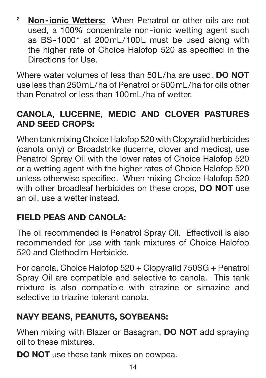**<sup>2</sup> Non-ionic Wetters:** When Penatrol or other oils are not used, a 100% concentrate non-ionic wetting agent such as BS-1000\* at 200mL/100L must be used along with the higher rate of Choice Halofop 520 as specified in the Directions for Use.

Where water volumes of less than 50L/ha are used, **DO NOT** use less than 250mL/ha of Penatrol or 500mL/ha for oils other than Penatrol or less than 100ml /ha of wetter.

#### **CANOLA, LUCERNE, MEDIC AND CLOVER PASTURES AND SEED CROPS:**

When tank mixing Choice Halofop 520 with Clopyralid herbicides (canola only) or Broadstrike (lucerne, clover and medics), use Penatrol Spray Oil with the lower rates of Choice Halofop 520 or a wetting agent with the higher rates of Choice Halofop 520 unless otherwise specified. When mixing Choice Halofop 520 with other broadleaf herbicides on these crops, **DO NOT** use an oil, use a wetter instead.

#### **FIELD PEAS AND CANOLA:**

The oil recommended is Penatrol Spray Oil. Effectivoil is also recommended for use with tank mixtures of Choice Halofop 520 and Clethodim Herbicide.

For canola, Choice Halofop 520 + Clopyralid 750SG + Penatrol Spray Oil are compatible and selective to canola. This tank mixture is also compatible with atrazine or simazine and selective to triazine tolerant canola.

#### **NAVY BEANS, PEANUTS, SOYBEANS:**

When mixing with Blazer or Basagran, **DO NOT** add spraying oil to these mixtures.

**DO NOT** use these tank mixes on cowpea.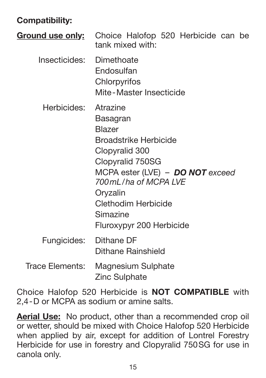#### **Compatibility:**

|                          | <b>Ground use only:</b> Choice Halofop 520 Herbicide can be<br>tank mixed with:                                                                                                                                                                      |
|--------------------------|------------------------------------------------------------------------------------------------------------------------------------------------------------------------------------------------------------------------------------------------------|
| Insecticides: Dimethoate | Endosulfan<br>Chlorpyrifos<br>Mite-Master Insecticide                                                                                                                                                                                                |
| Herbicides:              | Atrazine<br>Basagran<br><b>Blazer</b><br><b>Broadstrike Herbicide</b><br>Clopyralid 300<br>Clopyralid 750SG<br>MCPA ester (LVE) - DO NOT exceed<br>700ml /ha of MCPA I VF<br>Oryzalin<br>Clethodim Herbicide<br>Simazine<br>Fluroxypyr 200 Herbicide |
| Fungicides:              | Dithane DF<br>Dithane Rainshield                                                                                                                                                                                                                     |
| Trace Elements:          | Magnesium Sulphate<br>Zinc Sulphate                                                                                                                                                                                                                  |

Choice Halofop 520 Herbicide is **NOT COMPATIBLE** with 2,4-D or MCPA as sodium or amine salts.

**Aerial Use:** No product, other than a recommended crop oil or wetter, should be mixed with Choice Halofop 520 Herbicide when applied by air, except for addition of Lontrel Forestry Herbicide for use in forestry and Clopyralid 750SG for use in canola only.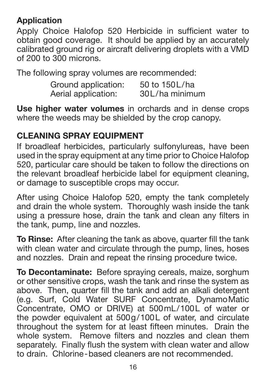#### **Application**

Apply Choice Halofop 520 Herbicide in sufficient water to obtain good coverage. It should be applied by an accurately calibrated ground rig or aircraft delivering droplets with a VMD of 200 to 300 microns.

The following spray volumes are recommended:

| Ground application: | 50 to 150L/ha  |
|---------------------|----------------|
| Aerial application: | 30L/ha minimum |

**Use higher water volumes** in orchards and in dense crops where the weeds may be shielded by the crop canopy.

#### **CLEANING SPRAY EQUIPMENT**

If broadleaf herbicides, particularly sulfonylureas, have been used in the spray equipment at any time prior to Choice Halofop 520, particular care should be taken to follow the directions on the relevant broadleaf herbicide label for equipment cleaning. or damage to susceptible crops may occur.

After using Choice Halofop 520, empty the tank completely and drain the whole system. Thoroughly wash inside the tank using a pressure hose, drain the tank and clean any filters in the tank, pump, line and nozzles.

**To Rinse:** After cleaning the tank as above, quarter fill the tank with clean water and circulate through the pump, lines, hoses and nozzles. Drain and repeat the rinsing procedure twice.

**To Decontaminate:** Before spraying cereals, maize, sorghum or other sensitive crops, wash the tank and rinse the system as above. Then, quarter fill the tank and add an alkali detergent (e.g. Surf, Cold Water SURF Concentrate, DynamoMatic Concentrate, OMO or DRIVE) at 500mL/100L of water or the powder equivalent at 500g/100L of water, and circulate throughout the system for at least fifteen minutes. Drain the whole system. Remove filters and nozzles and clean them separately. Finally flush the system with clean water and allow to drain. Chlorine-based cleaners are not recommended.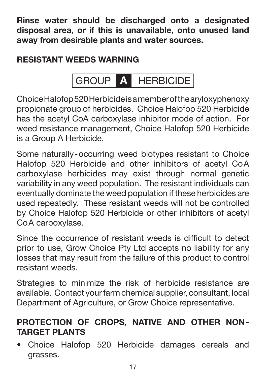**Rinse water should be discharged onto a designated disposal area, or if this is unavailable, onto unused land away from desirable plants and water sources.**

#### **RESISTANT WEEDS WARNING**

GROUP **A** HERBICIDE

Choice Halofop 520 Herbicide is a member of the aryloxyphenoxy propionate group of herbicides. Choice Halofop 520 Herbicide has the acetyl CoA carboxylase inhibitor mode of action. For weed resistance management, Choice Halofop 520 Herbicide is a Group A Herbicide.

Some naturally-occurring weed biotypes resistant to Choice Halofop 520 Herbicide and other inhibitors of acetyl CoA carboxylase herbicides may exist through normal genetic variability in any weed population. The resistant individuals can eventually dominate the weed population if these herbicides are used repeatedly. These resistant weeds will not be controlled by Choice Halofop 520 Herbicide or other inhibitors of acetyl CoA carboxylase.

Since the occurrence of resistant weeds is difficult to detect prior to use, Grow Choice Pty Ltd accepts no liability for any losses that may result from the failure of this product to control resistant weeds.

Strategies to minimize the risk of herbicide resistance are available. Contact your farm chemical supplier, consultant, local Department of Agriculture, or Grow Choice representative.

#### **PROTECTION OF CROPS, NATIVE AND OTHER NON-TARGET PLANTS**

• Choice Halofop 520 Herbicide damages cereals and grasses.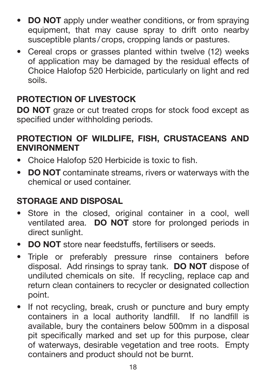- **DO NOT** apply under weather conditions, or from spraying equipment, that may cause spray to drift onto nearby susceptible plants / crops, cropping lands or pastures.
- Cereal crops or grasses planted within twelve (12) weeks of application may be damaged by the residual effects of Choice Halofop 520 Herbicide, particularly on light and red soils.

#### **PROTECTION OF LIVESTOCK**

**DO NOT** graze or cut treated crops for stock food except as specified under withholding periods.

#### **PROTECTION OF WILDLIFE, FISH, CRUSTACEANS AND ENVIRONMENT**

- Choice Halofop 520 Herbicide is toxic to fish.
- **DO NOT** contaminate streams, rivers or waterways with the chemical or used container.

#### **STORAGE AND DISPOSAL**

- Store in the closed, original container in a cool, well ventilated area. **DO NOT** store for prolonged periods in direct sunlight.
- **DO NOT** store near feedstuffs, fertilisers or seeds.
- Triple or preferably pressure rinse containers before disposal. Add rinsings to spray tank. **DO NOT** dispose of undiluted chemicals on site. If recycling, replace cap and return clean containers to recycler or designated collection point.
- If not recycling, break, crush or puncture and bury empty containers in a local authority landfill. If no landfill is available, bury the containers below 500mm in a disposal pit specifically marked and set up for this purpose, clear of waterways, desirable vegetation and tree roots. Empty containers and product should not be burnt.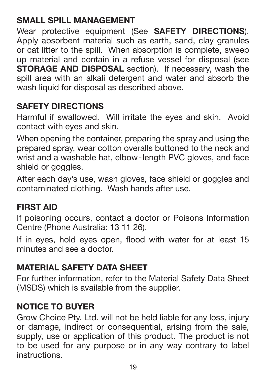#### **SMALL SPILL MANAGEMENT**

Wear protective equipment (See **SAFETY DIRECTIONS**). Apply absorbent material such as earth, sand, clay granules or cat litter to the spill. When absorption is complete, sweep up material and contain in a refuse vessel for disposal (see **STORAGE AND DISPOSAL** section). If necessary, wash the spill area with an alkali detergent and water and absorb the wash liquid for disposal as described above.

#### **SAFETY DIRECTIONS**

Harmful if swallowed. Will irritate the eyes and skin. Avoid contact with eyes and skin.

When opening the container, preparing the spray and using the prepared spray, wear cotton overalls buttoned to the neck and wrist and a washable hat, elbow-length PVC gloves, and face shield or goggles.

After each day's use, wash gloves, face shield or goggles and contaminated clothing. Wash hands after use.

#### **FIRST AID**

If poisoning occurs, contact a doctor or Poisons Information Centre (Phone Australia: 13 11 26).

If in eyes, hold eyes open, flood with water for at least 15 minutes and see a doctor.

#### **MATERIAL SAFETY DATA SHEET**

For further information, refer to the Material Safety Data Sheet (MSDS) which is available from the supplier.

#### **NOTICE TO BUYER**

Grow Choice Pty. Ltd. will not be held liable for any loss, injury or damage, indirect or consequential, arising from the sale, supply, use or application of this product. The product is not to be used for any purpose or in any way contrary to label instructions.